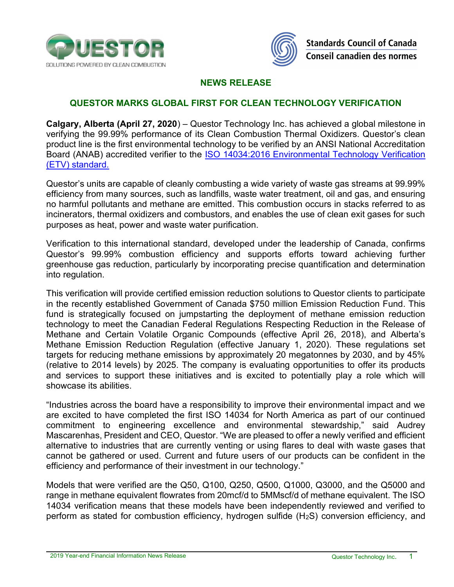



## NEWS RELEASE

## QUESTOR MARKS GLOBAL FIRST FOR CLEAN TECHNOLOGY VERIFICATION

Calgary, Alberta (April 27, 2020) – Questor Technology Inc. has achieved a global milestone in verifying the 99.99% performance of its Clean Combustion Thermal Oxidizers. Questor's clean product line is the first environmental technology to be verified by an ANSI National Accreditation Board (ANAB) accredited verifier to the ISO 14034:2016 Environmental Technology Verification (ETV) standard.

Questor's units are capable of cleanly combusting a wide variety of waste gas streams at 99.99% efficiency from many sources, such as landfills, waste water treatment, oil and gas, and ensuring no harmful pollutants and methane are emitted. This combustion occurs in stacks referred to as incinerators, thermal oxidizers and combustors, and enables the use of clean exit gases for such purposes as heat, power and waste water purification.

Verification to this international standard, developed under the leadership of Canada, confirms Questor's 99.99% combustion efficiency and supports efforts toward achieving further greenhouse gas reduction, particularly by incorporating precise quantification and determination into regulation.

This verification will provide certified emission reduction solutions to Questor clients to participate in the recently established Government of Canada \$750 million Emission Reduction Fund. This fund is strategically focused on jumpstarting the deployment of methane emission reduction technology to meet the Canadian Federal Regulations Respecting Reduction in the Release of Methane and Certain Volatile Organic Compounds (effective April 26, 2018), and Alberta's Methane Emission Reduction Regulation (effective January 1, 2020). These regulations set targets for reducing methane emissions by approximately 20 megatonnes by 2030, and by 45% (relative to 2014 levels) by 2025. The company is evaluating opportunities to offer its products and services to support these initiatives and is excited to potentially play a role which will showcase its abilities.

"Industries across the board have a responsibility to improve their environmental impact and we are excited to have completed the first ISO 14034 for North America as part of our continued commitment to engineering excellence and environmental stewardship," said Audrey Mascarenhas, President and CEO, Questor. "We are pleased to offer a newly verified and efficient alternative to industries that are currently venting or using flares to deal with waste gases that cannot be gathered or used. Current and future users of our products can be confident in the efficiency and performance of their investment in our technology."

Models that were verified are the Q50, Q100, Q250, Q500, Q1000, Q3000, and the Q5000 and range in methane equivalent flowrates from 20mcf/d to 5MMscf/d of methane equivalent. The ISO 14034 verification means that these models have been independently reviewed and verified to perform as stated for combustion efficiency, hydrogen sulfide (H2S) conversion efficiency, and